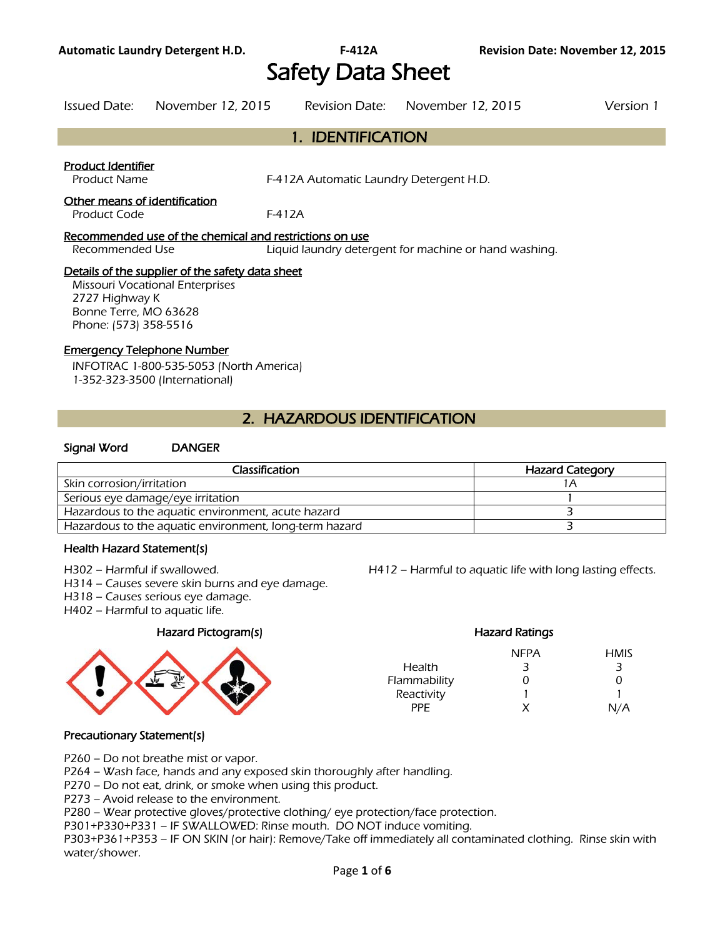Safety Data Sheet

Issued Date: November 12, 2015 Revision Date: November 12, 2015 Version 1

## 1. IDENTIFICATION

### Product Identifier

Product Name F-412A Automatic Laundry Detergent H.D.

### Other means of identification

Product Code F-412A

#### Recommended use of the chemical and restrictions on use

Recommended Use Liquid laundry detergent for machine or hand washing.

#### Details of the supplier of the safety data sheet

Missouri Vocational Enterprises 2727 Highway K Bonne Terre, MO 63628 Phone: (573) 358-5516

### Emergency Telephone Number

INFOTRAC 1-800-535-5053 (North America) 1-352-323-3500 (International)

# 2. HAZARDOUS IDENTIFICATION

### Signal Word DANGER

| Classification                                         | <b>Hazard Category</b> |
|--------------------------------------------------------|------------------------|
| Skin corrosion/irritation                              |                        |
| Serious eye damage/eye irritation                      |                        |
| Hazardous to the aquatic environment, acute hazard     |                        |
| Hazardous to the aquatic environment, long-term hazard |                        |
|                                                        |                        |

#### Health Hazard Statement(s)

H302 – Harmful if swallowed.

- H314 Causes severe skin burns and eye damage.
- H318 Causes serious eye damage.
- H402 Harmful to aquatic life.

#### Hazard Pictogram(s)



| H412 – Harmful to aquatic life with long lasting effects. |  |
|-----------------------------------------------------------|--|
|-----------------------------------------------------------|--|

|              | <b>Hazard Ratings</b> |             |
|--------------|-----------------------|-------------|
|              | NFPA                  | <b>HMIS</b> |
| Health       | 3                     | З           |
| Flammability | O                     | O           |
| Reactivity   |                       |             |
| PPF          | x                     | N/A         |

### Precautionary Statement(s)

P260 – Do not breathe mist or vapor.

P264 – Wash face, hands and any exposed skin thoroughly after handling.

P270 – Do not eat, drink, or smoke when using this product.

P273 – Avoid release to the environment.

P280 – Wear protective gloves/protective clothing/ eye protection/face protection.

P301+P330+P331 – IF SWALLOWED: Rinse mouth. DO NOT induce vomiting.

P303+P361+P353 – IF ON SKIN (or hair): Remove/Take off immediately all contaminated clothing. Rinse skin with water/shower.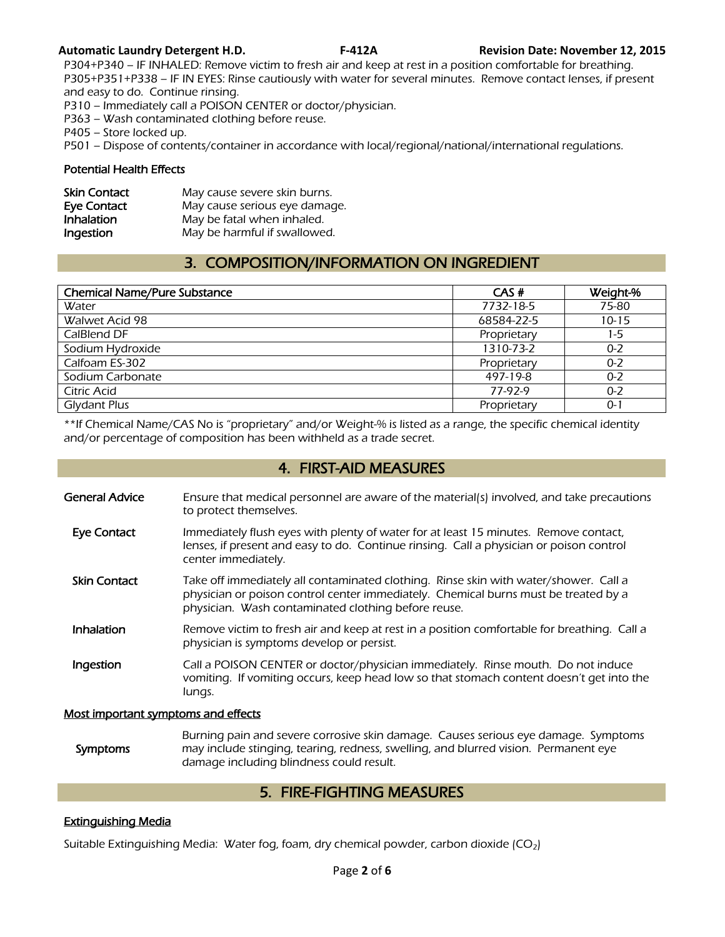P304+P340 – IF INHALED: Remove victim to fresh air and keep at rest in a position comfortable for breathing. P305+P351+P338 – IF IN EYES: Rinse cautiously with water for several minutes. Remove contact lenses, if present and easy to do. Continue rinsing.

P310 – Immediately call a POISON CENTER or doctor/physician.

P363 – Wash contaminated clothing before reuse.

P405 – Store locked up.

P501 – Dispose of contents/container in accordance with local/regional/national/international regulations.

#### Potential Health Effects

| <b>Skin Contact</b> | May cause severe skin burns.  |
|---------------------|-------------------------------|
| Eye Contact         | May cause serious eye damage. |
| <b>Inhalation</b>   | May be fatal when inhaled.    |
| Ingestion           | May be harmful if swallowed.  |

# 3. COMPOSITION/INFORMATION ON INGREDIENT

| <b>Chemical Name/Pure Substance</b> | CAS#        | Weight-%  |
|-------------------------------------|-------------|-----------|
| Water                               | 7732-18-5   | 75-80     |
| Walwet Acid 98                      | 68584-22-5  | $10 - 15$ |
| CalBlend DF                         | Proprietary | 1-5       |
| Sodium Hydroxide                    | 1310-73-2   | $0 - 2$   |
| Calfoam ES-302                      | Proprietary | $0 - 2$   |
| Sodium Carbonate                    | 497-19-8    | $0 - 2$   |
| <b>Citric Acid</b>                  | 77-97-9     | $0 - 2$   |
| <b>Glydant Plus</b>                 | Proprietary | 0-1       |

\*\*If Chemical Name/CAS No is "proprietary" and/or Weight-% is listed as a range, the specific chemical identity and/or percentage of composition has been withheld as a trade secret.

## 4. FIRST-AID MEASURES

- General Advice Ensure that medical personnel are aware of the material(s) involved, and take precautions to protect themselves.
- Eye Contact Immediately flush eyes with plenty of water for at least 15 minutes. Remove contact, lenses, if present and easy to do. Continue rinsing. Call a physician or poison control center immediately.
- Skin Contact Take off immediately all contaminated clothing. Rinse skin with water/shower. Call a physician or poison control center immediately. Chemical burns must be treated by a physician. Wash contaminated clothing before reuse.
- Inhalation Remove victim to fresh air and keep at rest in a position comfortable for breathing. Call a physician is symptoms develop or persist.
- Ingestion Call a POISON CENTER or doctor/physician immediately. Rinse mouth. Do not induce vomiting. If vomiting occurs, keep head low so that stomach content doesn't get into the lungs.

#### Most important symptoms and effects

 Symptoms Burning pain and severe corrosive skin damage. Causes serious eye damage. Symptoms may include stinging, tearing, redness, swelling, and blurred vision. Permanent eye damage including blindness could result.

## 5. FIRE-FIGHTING MEASURES

#### Extinguishing Media

Suitable Extinguishing Media: Water fog, foam, dry chemical powder, carbon dioxide  $(CO_2)$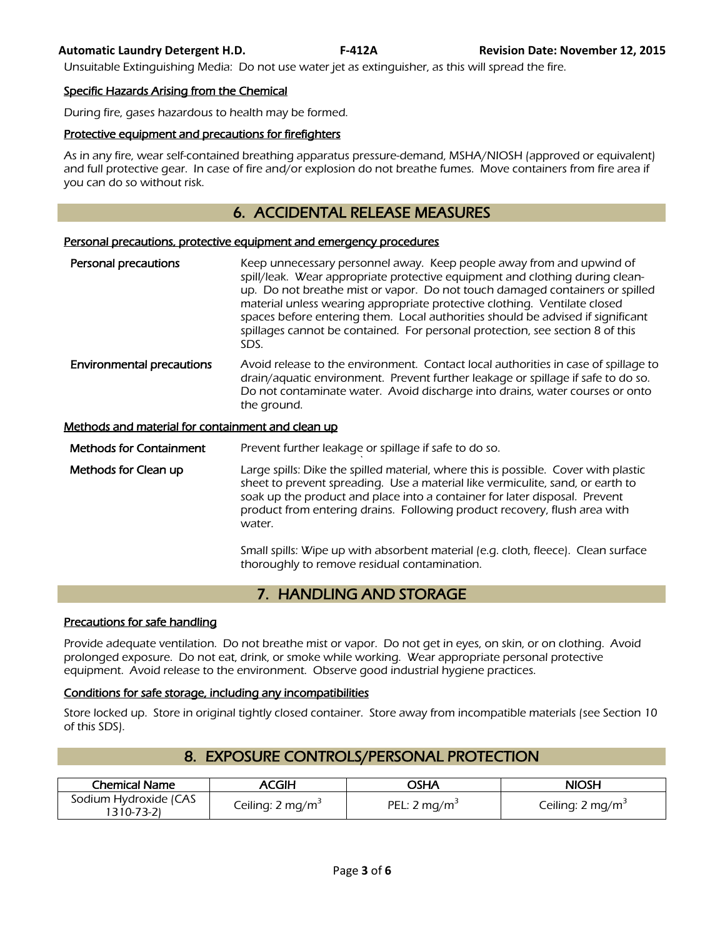Unsuitable Extinguishing Media: Do not use water jet as extinguisher, as this will spread the fire.

#### Specific Hazards Arising from the Chemical

During fire, gases hazardous to health may be formed.

#### Protective equipment and precautions for firefighters

As in any fire, wear self-contained breathing apparatus pressure-demand, MSHA/NIOSH (approved or equivalent) and full protective gear. In case of fire and/or explosion do not breathe fumes. Move containers from fire area if you can do so without risk.

## 6. ACCIDENTAL RELEASE MEASURES

#### Personal precautions, protective equipment and emergency procedures

Personal precautions **Keep unnecessary personnel away.** Keep people away from and upwind of spill/leak. Wear appropriate protective equipment and clothing during cleanup. Do not breathe mist or vapor. Do not touch damaged containers or spilled material unless wearing appropriate protective clothing. Ventilate closed spaces before entering them. Local authorities should be advised if significant spillages cannot be contained. For personal protection, see section 8 of this SDS. **Environmental precautions** Avoid release to the environment. Contact local authorities in case of spillage to drain/aquatic environment. Prevent further leakage or spillage if safe to do so. Do not contaminate water. Avoid discharge into drains, water courses or onto the ground.

#### Methods and material for containment and clean up

Methods for Containment Prevent further leakage or spillage if safe to do so.

` Methods for Clean up **Large spills:** Dike the spilled material, where this is possible. Cover with plastic sheet to prevent spreading. Use a material like vermiculite, sand, or earth to soak up the product and place into a container for later disposal. Prevent product from entering drains. Following product recovery, flush area with water.

> Small spills: Wipe up with absorbent material (e.g. cloth, fleece). Clean surface thoroughly to remove residual contamination.

# 7. HANDLING AND STORAGE

#### Precautions for safe handling

Provide adequate ventilation. Do not breathe mist or vapor. Do not get in eyes, on skin, or on clothing. Avoid prolonged exposure. Do not eat, drink, or smoke while working. Wear appropriate personal protective equipment. Avoid release to the environment. Observe good industrial hygiene practices.

#### Conditions for safe storage, including any incompatibilities

Store locked up. Store in original tightly closed container. Store away from incompatible materials (see Section 10 of this SDS).

| <b>Chemical Name</b>                | ACGIH                        | AH2C           | NIOSH                        |
|-------------------------------------|------------------------------|----------------|------------------------------|
| Sodium Hydroxide (CAS<br>1310-73-21 | Ceiling: 2 mg/m <sup>3</sup> | PEL: 2 $mq/m3$ | Ceiling: 2 mg/m <sup>3</sup> |

## 8. EXPOSURE CONTROLS/PERSONAL PROTECTION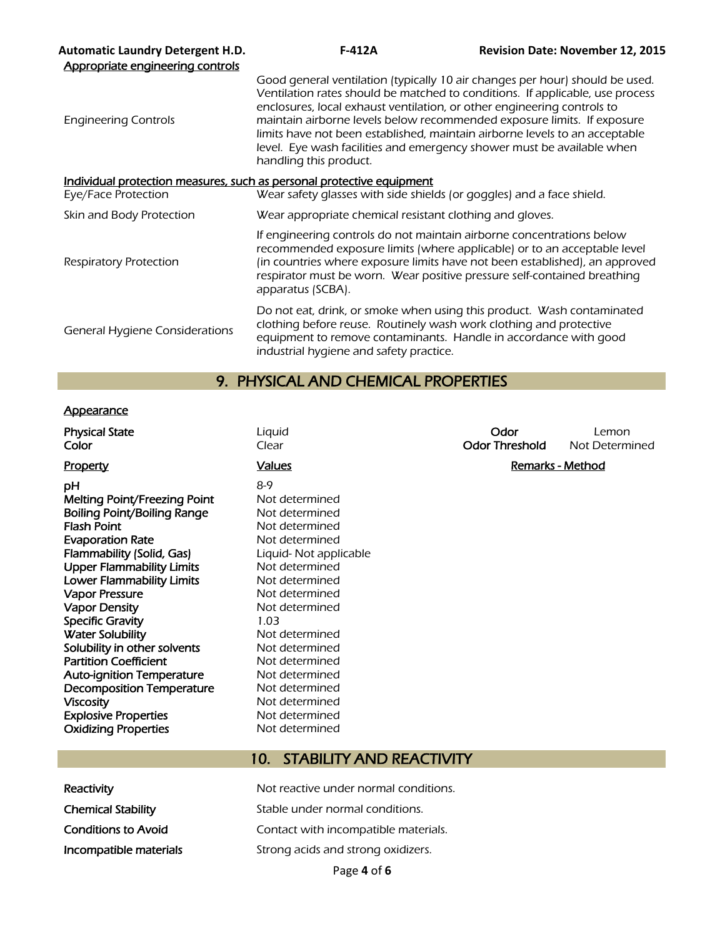| <b>Automatic Laundry Detergent H.D.</b><br>Appropriate engineering controls | $F-412A$                                                                                                                                                                                                                                                                                                                                                                                                                                                                                               | <b>Revision Date: November 12, 2015</b> |
|-----------------------------------------------------------------------------|--------------------------------------------------------------------------------------------------------------------------------------------------------------------------------------------------------------------------------------------------------------------------------------------------------------------------------------------------------------------------------------------------------------------------------------------------------------------------------------------------------|-----------------------------------------|
| <b>Engineering Controls</b>                                                 | Good general ventilation (typically 10 air changes per hour) should be used.<br>Ventilation rates should be matched to conditions. If applicable, use process<br>enclosures, local exhaust ventilation, or other engineering controls to<br>maintain airborne levels below recommended exposure limits. If exposure<br>limits have not been established, maintain airborne levels to an acceptable<br>level. Eye wash facilities and emergency shower must be available when<br>handling this product. |                                         |
| Individual protection measures, such as personal protective equipment       |                                                                                                                                                                                                                                                                                                                                                                                                                                                                                                        |                                         |
| Eye/Face Protection                                                         | Wear safety glasses with side shields (or goggles) and a face shield.                                                                                                                                                                                                                                                                                                                                                                                                                                  |                                         |
| Skin and Body Protection                                                    | Wear appropriate chemical resistant clothing and gloves.                                                                                                                                                                                                                                                                                                                                                                                                                                               |                                         |
| Respiratory Protection                                                      | If engineering controls do not maintain airborne concentrations below<br>recommended exposure limits (where applicable) or to an acceptable level<br>(in countries where exposure limits have not been established), an approved<br>respirator must be worn. Wear positive pressure self-contained breathing<br>apparatus (SCBA).                                                                                                                                                                      |                                         |
| <b>General Hygiene Considerations</b>                                       | Do not eat, drink, or smoke when using this product. Wash contaminated<br>clothing before reuse. Routinely wash work clothing and protective<br>equipment to remove contaminants. Handle in accordance with good<br>industrial hygiene and safety practice.                                                                                                                                                                                                                                            |                                         |

# 9. PHYSICAL AND CHEMICAL PROPERTIES

### **Appearance**

| <b>Physical State</b><br>Color                                                                                                                                                                                                                                                                                                                                                                                                                                                                                                                                  | Liquid<br>Clear                                                                                                                                                                                                                                                                                                                        | Odor<br><b>Odor Threshold</b> | Lemon<br>Not Determined |
|-----------------------------------------------------------------------------------------------------------------------------------------------------------------------------------------------------------------------------------------------------------------------------------------------------------------------------------------------------------------------------------------------------------------------------------------------------------------------------------------------------------------------------------------------------------------|----------------------------------------------------------------------------------------------------------------------------------------------------------------------------------------------------------------------------------------------------------------------------------------------------------------------------------------|-------------------------------|-------------------------|
| <b>Property</b>                                                                                                                                                                                                                                                                                                                                                                                                                                                                                                                                                 | <b>Values</b>                                                                                                                                                                                                                                                                                                                          |                               | Remarks - Method        |
| рH<br><b>Melting Point/Freezing Point</b><br>Boiling Point/Boiling Range<br><b>Flash Point</b><br><b>Evaporation Rate</b><br>Flammability (Solid, Gas)<br><b>Upper Flammability Limits</b><br><b>Lower Flammability Limits</b><br><b>Vapor Pressure</b><br><b>Vapor Density</b><br><b>Specific Gravity</b><br><b>Water Solubility</b><br>Solubility in other solvents<br><b>Partition Coefficient</b><br><b>Auto-ignition Temperature</b><br><b>Decomposition Temperature</b><br><b>Viscosity</b><br><b>Explosive Properties</b><br><b>Oxidizing Properties</b> | $8-9$<br>Not determined<br>Not determined<br>Not determined<br>Not determined<br>Liquid-Not applicable<br>Not determined<br>Not determined<br>Not determined<br>Not determined<br>1.03<br>Not determined<br>Not determined<br>Not determined<br>Not determined<br>Not determined<br>Not determined<br>Not determined<br>Not determined |                               |                         |

# 10. STABILITY AND REACTIVITY

| Reactivity                 |
|----------------------------|
| <b>Chemical Stability</b>  |
| <b>Conditions to Avoid</b> |
| Incompatible materials     |

Not reactive under normal conditions. Stable under normal conditions. Contact with incompatible materials. Strong acids and strong oxidizers.

Page **4** of **6**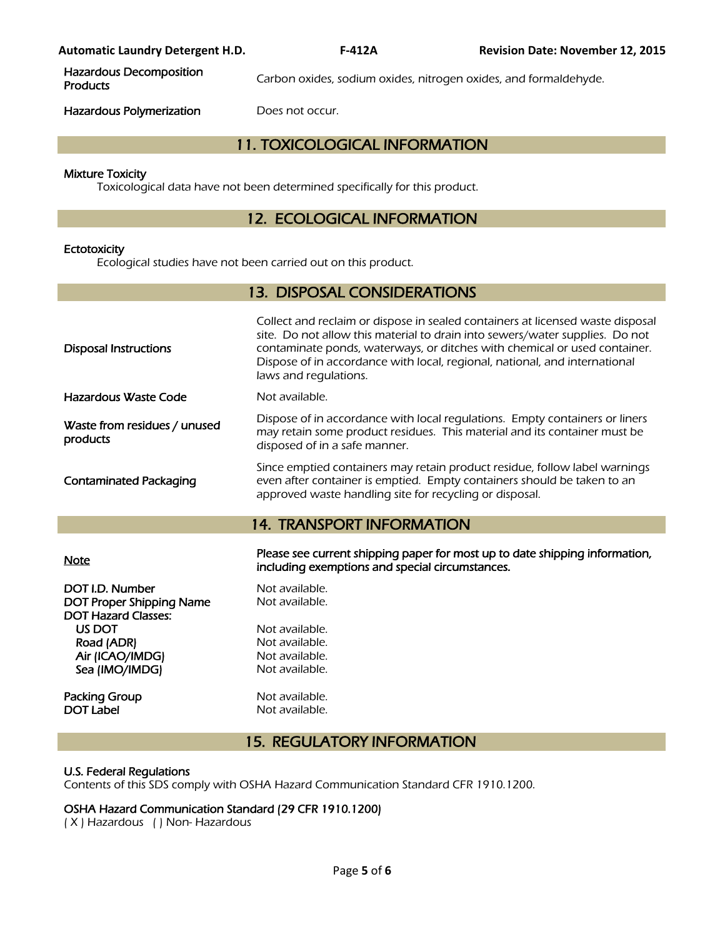Hazardous Decomposition

Carbon oxides, sodium oxides, nitrogen oxides, and formaldehyde.

Hazardous Polymerization Does not occur.

## 11. TOXICOLOGICAL INFORMATION

#### Mixture Toxicity

Toxicological data have not been determined specifically for this product.

## 12. ECOLOGICAL INFORMATION

#### **Ectotoxicity**

Ecological studies have not been carried out on this product.

| <b>13. DISPOSAL CONSIDERATIONS</b>                                                                                                            |                                                                                                                                                                                                                                                                                                                                                    |  |  |  |
|-----------------------------------------------------------------------------------------------------------------------------------------------|----------------------------------------------------------------------------------------------------------------------------------------------------------------------------------------------------------------------------------------------------------------------------------------------------------------------------------------------------|--|--|--|
| <b>Disposal Instructions</b>                                                                                                                  | Collect and reclaim or dispose in sealed containers at licensed waste disposal<br>site. Do not allow this material to drain into sewers/water supplies. Do not<br>contaminate ponds, waterways, or ditches with chemical or used container.<br>Dispose of in accordance with local, regional, national, and international<br>laws and regulations. |  |  |  |
| <b>Hazardous Waste Code</b>                                                                                                                   | Not available.                                                                                                                                                                                                                                                                                                                                     |  |  |  |
| Waste from residues / unused<br>products                                                                                                      | Dispose of in accordance with local regulations. Empty containers or liners<br>may retain some product residues. This material and its container must be<br>disposed of in a safe manner.                                                                                                                                                          |  |  |  |
| <b>Contaminated Packaging</b>                                                                                                                 | Since emptied containers may retain product residue, follow label warnings<br>even after container is emptied. Empty containers should be taken to an<br>approved waste handling site for recycling or disposal.                                                                                                                                   |  |  |  |
|                                                                                                                                               | <b>14. TRANSPORT INFORMATION</b>                                                                                                                                                                                                                                                                                                                   |  |  |  |
|                                                                                                                                               |                                                                                                                                                                                                                                                                                                                                                    |  |  |  |
| <b>Note</b>                                                                                                                                   | Please see current shipping paper for most up to date shipping information,<br>including exemptions and special circumstances.                                                                                                                                                                                                                     |  |  |  |
| DOT I.D. Number<br><b>DOT Proper Shipping Name</b><br><b>DOT Hazard Classes:</b><br>US DOT<br>Road (ADR)<br>Air (ICAO/IMDG)<br>Sea (IMO/IMDG) | Not available.<br>Not available.<br>Not available.<br>Not available.<br>Not available.<br>Not available.                                                                                                                                                                                                                                           |  |  |  |

## 15. REGULATORY INFORMATION

#### U.S. Federal Regulations

Contents of this SDS comply with OSHA Hazard Communication Standard CFR 1910.1200.

### OSHA Hazard Communication Standard (29 CFR 1910.1200)

( X ) Hazardous ( ) Non- Hazardous